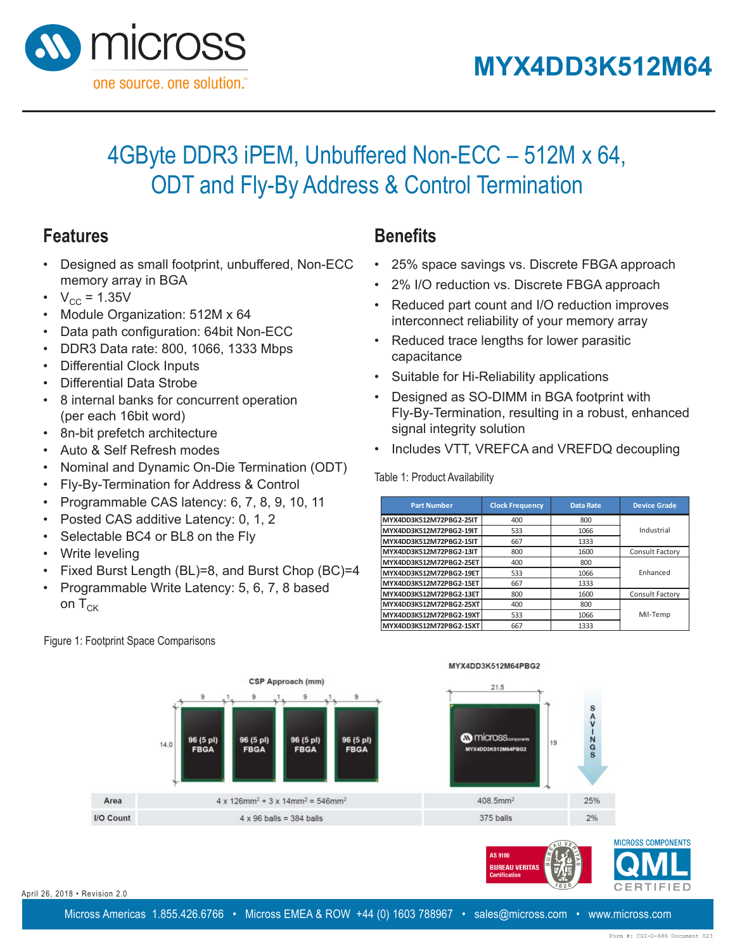



### 4GByte DDR3 iPEM, Unbuffered Non-ECC - 512M x 64, ODT and Fly-By Address & Control Termination רש ג ועו $\Box$  ו $\tau,$

### **Features**

- Designed as small footprint, unbuffered, Non-ECC memory array in BGA **Features**
- $V_{\text{CC}} = 1.35V$
- Module Organization: 512M x 64
- Data path configuration: 64bit Non-ECC
- $\cdot$  DDR3 Data rate: 800, 1066, 1333 Mbps
- Differential Clock Inputs  $\frac{1}{2}$
- Differential Data Strobe
- $\cdot$   $\,$  8 internal banks for concurrent operation (per each 16bit word)
- 8n-bit prefetch architecture
- Auto & Self Refresh modes
- Nominal and Dynamic On-Die Termination (ODT)
- Fly-By-Termination for Address & Control  $\alpha$  Dy-Dy-Termination for Address  $\alpha$  Control
- Programmable CAS latency:  $6, 7, 8, 9, 10, 11$
- Posted CAS additive Latency: 0, 1, 2
- Selectable BC4 or BL8 on the Fly
- Write leveling
- Fixed Burst Length (BL)=8, and Burst Chop (BC)=4
- Programmable Write Latency: 5, 6, 7, 8 based on  $T_{CK}$ • Programmable Write Latency: 5, 6, 7, 8 based on TCK

### Figure 1: Footprint Space Comparisons

#### **Benefits Control Telephones Benefits**

- 25% space savings vs. Discrete FBGA approach
- 2% I/O reduction vs. Discrete FBGA approach
- Reduced part count and I/O reduction improves • 25% space savings view of your memory array  $\mathcal{L}$  is a property condition value  $\mathcal{L}$  and  $\mathcal{L}$  approximately  $\mathcal{L}$
- $\bullet$  Reduced trace lengths for lower parasitic capacitance interconnect reliability of  $\sim$
- Suitable for Hi-Reliability applications
- Designed as SO-DIMM in BGA footprint with Fly-By-Termination, resulting in a robust, enhanced signal integrity solution Designed as SO-DIMIN III BOATC
- Includes VTT, VREFCA and VREFDQ decoupling  $\mathcal{F}$  is the following value of  $\mathcal{F}$

# Table 1: Product Availability **Product Availability**

| <b>Part Number</b>      | <b>Clock Frequency</b> | <b>Data Rate</b> | <b>Device Grade</b> |
|-------------------------|------------------------|------------------|---------------------|
| MYX4DD3K512M72PBG2-25IT | 400                    | 800              |                     |
| MYX4DD3K512M72PBG2-19IT | 533                    | 1066             | Industrial          |
| MYX4DD3K512M72PBG2-15IT | 667                    | 1333             |                     |
| MYX4DD3K512M72PBG2-13IT | 800                    | 1600             | Consult Factory     |
| MYX4DD3K512M72PBG2-25ET | 400                    | 800              |                     |
| MYX4DD3K512M72PBG2-19ET | 533                    | 1066             | Enhanced            |
| MYX4DD3K512M72PBG2-15ET | 667                    | 1333             |                     |
| MYX4DD3K512M72PBG2-13ET | 800                    | 1600             | Consult Factory     |
| MYX4DD3K512M72PBG2-25XT | 400                    | 800              |                     |
| MYX4DD3K512M72PBG2-19XT | 533                    | 1066             | Mil-Temp            |
| MYX4DD3K512M72PBG2-15XT | 667                    | 1333             |                     |

AS 9100 **BUREAU VERITAS** 



April 26, 2018 • Revision 2.0  $8 \cdot$  Revision 2.0